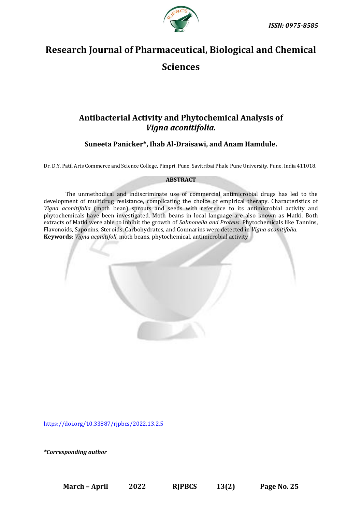

# **Research Journal of Pharmaceutical, Biological and Chemical Sciences**

# **Antibacterial Activity and Phytochemical Analysis of**  *Vigna aconitifolia.*

**Suneeta Panicker\*, Ihab Al-Draisawi, and Anam Hamdule.**

Dr. D.Y. Patil Arts Commerce and Science College, Pimpri, Pune, Savitribai Phule Pune University, Pune, India 411018.

# **ABSTRACT**

The unmethodical and indiscriminate use of commercial antimicrobial drugs has led to the development of multidrug resistance, complicating the choice of empirical therapy. Characteristics of *Vigna aconitifolia* (moth bean) sprouts and seeds with reference to its antimicrobial activity and phytochemicals have been investigated. Moth beans in local language are also known as Matki. Both extracts of Matki were able to inhibit the growth of *Salmonella and Proteus*. Phytochemicals like Tannins, Flavonoids, Saponins, Steroids, Carbohydrates, and Coumarins were detected in *Vigna aconitifolia.*  **Keywords**: *Vigna aconitifoli,* moth beans*,* phytochemical, antimicrobial activity



<https://doi.org/10.33887/rjpbcs/2022.13.2.5>

*\*Corresponding author*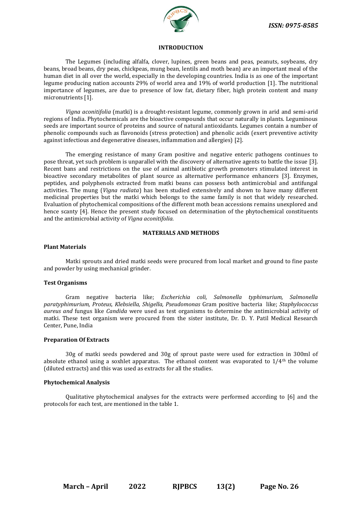

#### **INTRODUCTION**

The Legumes (including alfalfa, clover, lupines, green beans and peas, peanuts, soybeans, dry beans, broad beans, dry peas, chickpeas, mung bean, lentils and moth bean) are an important meal of the human diet in all over the world, especially in the developing countries. India is as one of the important legume producing nation accounts 29% of world area and 19% of world production [1]. The nutritional importance of legumes, are due to presence of low fat, dietary fiber, high protein content and many micronutrients [1].

*Vigna aconitifolia* (matki) is a drought-resistant legume, commonly grown in arid and semi-arid regions of India. Phytochemicals are the bioactive compounds that occur naturally in plants. Leguminous seeds are important source of proteins and source of natural antioxidants. Legumes contain a number of phenolic compounds such as flavonoids (stress protection) and phenolic acids (exert preventive activity against infectious and degenerative diseases, inflammation and allergies) [2].

The emerging resistance of many Gram positive and negative enteric pathogens continues to pose threat, yet such problem is unparallel with the discovery of alternative agents to battle the issue [3]. Recent bans and restrictions on the use of animal antibiotic growth promoters stimulated interest in bioactive secondary metabolites of plant source as alternative performance enhancers [3]. Enzymes, peptides, and polyphenols extracted from matki beans can possess both antimicrobial and antifungal activities. The mung (*Vigna radiata*) has been studied extensively and shown to have many different medicinal properties but the matki which belongs to the same family is not that widely researched. Evaluation of phytochemical compositions of the different moth bean accessions remains unexplored and hence scanty [4]. Hence the present study focused on determination of the phytochemical constituents and the antimicrobial activity of *Vigna aconitifolia.*

### **MATERIALS AND METHODS**

#### **Plant Materials**

Matki sprouts and dried matki seeds were procured from local market and ground to fine paste and powder by using mechanical grinder.

#### **Test Organisms**

Gram negative bacteria like; *Escherichia coli, Salmonella typhimurium, Salmonella paratyphimurium, Proteus, Klebsiella, Shigella, Pseudomonas* Gram positive bacteria like; *Staphylococcus aureus and* fungus like *Candida* were used as test organisms to determine the antimicrobial activity of matki. These test organism were procured from the sister institute, Dr. D. Y. Patil Medical Research Center, Pune, India

#### **Preparation Of Extracts**

30g of matki seeds powdered and 30g of sprout paste were used for extraction in 300ml of absolute ethanol using a soxhlet apparatus. The ethanol content was evaporated to  $1/4$ <sup>th</sup> the volume (diluted extracts) and this was used as extracts for all the studies.

#### **Phytochemical Analysis**

Qualitative phytochemical analyses for the extracts were performed according to [6] and the protocols for each test, are mentioned in the table 1.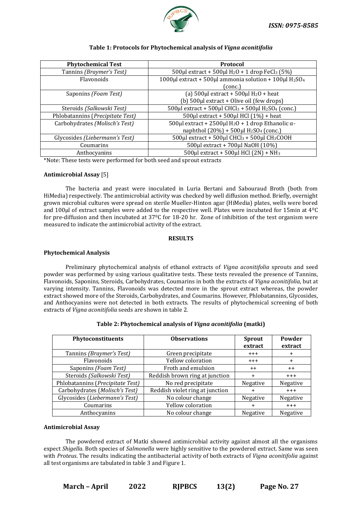

| <b>Phytochemical Test</b>        | <b>Protocol</b>                                                                                  |  |
|----------------------------------|--------------------------------------------------------------------------------------------------|--|
| Tannins (Braymer's Test)         | $500 \mu$ l extract + $500 \mu$ l H <sub>2</sub> O + 1 drop FeCl <sub>3</sub> (5%)               |  |
| Flavonoids                       | 1000 $\mu$ l extract + 500 $\mu$ l ammonia solution + 100 $\mu$ l H <sub>2</sub> SO <sub>4</sub> |  |
|                                  | (conc.)                                                                                          |  |
| Saponins (Foam Test)             | (a) $500 \mu l$ extract + $500 \mu l$ H <sub>2</sub> O + heat                                    |  |
|                                  | (b) 500µl extract + Olive oil (few drops)                                                        |  |
| Steroids (Salkowski Test)        | 500µl extract + 500µl CHCl <sub>3</sub> + 500µl H <sub>2</sub> SO <sub>4</sub> (conc.)           |  |
| Phlobatannins (Precipitate Test) | 500 $\mu$ l extract + 500 $\mu$ l HCl (1%) + heat                                                |  |
| Carbohydrates (Molisch's Test)   | 500µl extract + 2500µl H <sub>2</sub> O + 1 drop Ethanolic $\alpha$ -                            |  |
|                                  | naphthol $(20\%) + 500\mu$ l H <sub>2</sub> SO <sub>4</sub> (conc.)                              |  |
| Glycosides (Liebermann's Test)   | $500 \mu$ l extract + $500 \mu$ l CHCl <sub>3</sub> + $500 \mu$ l CH <sub>3</sub> COOH           |  |
| Coumarins                        | 500μl extract + 700μl NaOH (10%)                                                                 |  |
| Anthocyanins                     | $500 \mu$ l extract + $500 \mu$ l HCl (2N) + NH <sub>3</sub>                                     |  |

### **Table 1: Protocols for Phytochemical analysis of** *Vigna aconitifolia*

\*Note: These tests were performed for both seed and sprout extracts

#### **Antimicrobial Assay** [5]

The bacteria and yeast were inoculated in Luria Bertani and Sabouraud Broth (both from HiMedia) respectively. The antimicrobial activity was checked by well diffusion method. Briefly, overnight grown microbial cultures were spread on sterile Mueller-Hinton agar (HiMedia) plates, wells were bored and 100µl of extract samples were added to the respective well. Plates were incubated for 15min at 40C for pre-diffusion and then incubated at 370C for 18-20 hr. Zone of inhibition of the test organism were measured to indicate the antimicrobial activity of the extract.

#### **RESULTS**

#### **Phytochemical Analysis**

Preliminary phytochemical analysis of ethanol extracts of *Vigna aconitifolia* sprouts and seed powder was performed by using various qualitative tests. These tests revealed the presence of Tannins, Flavonoids, Saponins, Steroids, Carbohydrates, Coumarins in both the extracts of *Vigna aconitifolia*, but at varying intensity. Tannins, Flavonoids was detected more in the sprout extract whereas, the powder extract showed more of the Steroids, Carbohydrates, and Coumarins. However, Phlobatannins, Glycosides, and Anthocyanins were not detected in both extracts. The results of phytochemical screening of both extracts of *Vigna aconitifolia* seeds are shown in table 2.

| Phytoconstituents                | <b>Observations</b>             | <b>Sprout</b><br>extract | Powder<br>extract |
|----------------------------------|---------------------------------|--------------------------|-------------------|
| Tannins (Braymer's Test)         | Green precipitate               | $^{+++}$                 | ÷                 |
| Flavonoids                       | Yellow coloration               | $+ + +$                  | +                 |
| Saponins (Foam Test)             | Froth and emulsion              | $++$                     | $++$              |
| Steroids (Salkowski Test)        | Reddish brown ring at junction  | $\ddot{}$                | $^{+++}$          |
| Phlobatannins (Precipitate Test) | No red precipitate              | Negative                 | Negative          |
| Carbohydrates (Molisch's Test)   | Reddish violet ring at junction | +                        | $+ + +$           |
| Glycosides (Liebermann's Test)   | No colour change                | Negative                 | Negative          |
| Coumarins                        | Yellow coloration               | ٠                        | $+ + +$           |
| Anthocyanins                     | No colour change                | Negative                 | Negative          |

#### **Table 2: Phytochemical analysis of** *Vigna aconitifolia* **(matki)**

#### **Antimicrobial Assay**

The powdered extract of Matki showed antimicrobial activity against almost all the organisms expect *Shigella*. Both species of *Salmonella* were highly sensitive to the powdered extract. Same was seen with *Proteus*. The results indicating the antibacterial activity of both extracts of *Vigna aconitifolia* against all test organisms are tabulated in table 3 and Figure 1.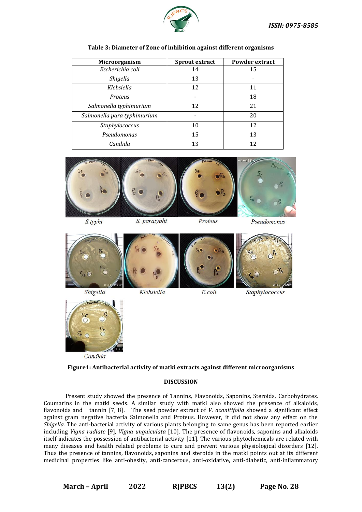

# **Table 3: Diameter of Zone of inhibition against different organisms**

| Microorganism               | <b>Sprout extract</b> | Powder extract |
|-----------------------------|-----------------------|----------------|
| Escherichia coli            | 14                    | 15             |
| Shigella                    | 13                    |                |
| Klebsiella                  | 12                    | 11             |
| <b>Proteus</b>              |                       | 18             |
| Salmonella typhimurium      | 12                    | 21             |
| Salmonella para typhimurium |                       | 20             |
| Staphylococcus              | 10                    | 12             |
| Pseudomonas                 | 15                    | 13             |
| Candida                     | 13                    | 12             |



S.typhi

S. paratyphi

Proteus

Pseudomonas









Shigella

Klebsiella

E.coli

Staphylococcus



Candida

# **Figure1: Antibacterial activity of matki extracts against different microorganisms**

#### **DISCUSSION**

Present study showed the presence of Tannins, Flavonoids, Saponins, Steroids, Carbohydrates, Coumarins in the matki seeds. A similar study with matki also showed the presence of alkaloids, flavonoids and tannin [7, 8]. The seed powder extract of *V. aconitifolia* showed a significant effect against gram negative bacteria Salmonella and Proteus. However, it did not show any effect on the *Shigella*. The anti-bacterial activity of various plants belonging to same genus has been reported earlier including *Vigna radiate* [9], *Vigna unguiculata* [10]. The presence of flavonoids, saponins and alkaloids itself indicates the possession of antibacterial activity [11]. The various phytochemicals are related with many diseases and health related problems to cure and prevent various physiological disorders [12]. Thus the presence of tannins, flavonoids, saponins and steroids in the matki points out at its different medicinal properties like anti-obesity, anti-cancerous, anti-oxidative, anti-diabetic, anti-inflammatory

**March – April 2022 RJPBCS 13(2) Page No. 28**